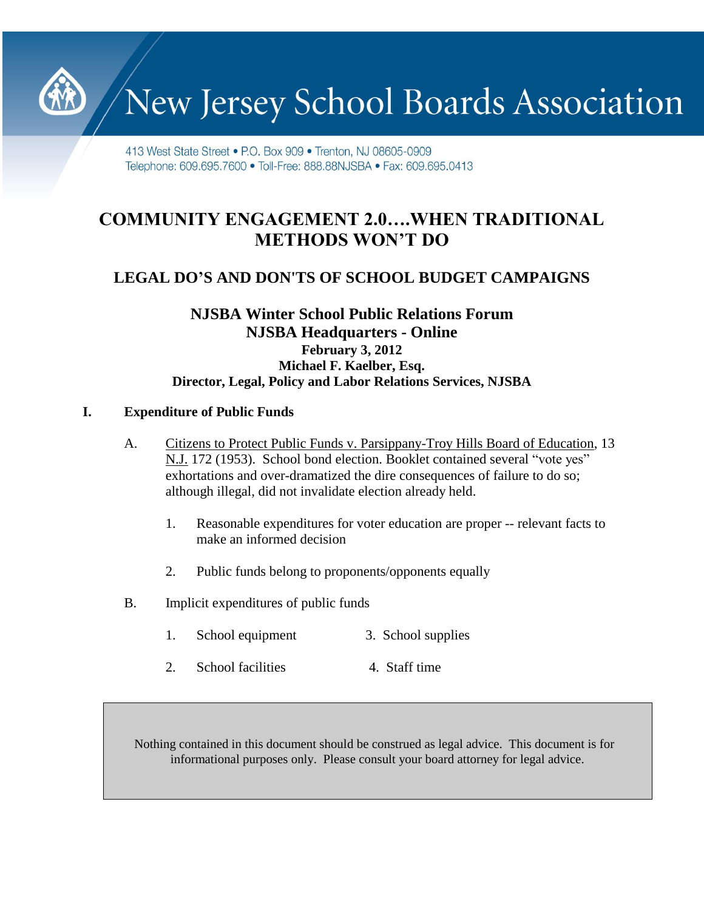New Jersey School Boards Association

413 West State Street • P.O. Box 909 • Trenton, NJ 08605-0909 Telephone: 609.695.7600 · Toll-Free: 888.88NJSBA · Fax: 609.695.0413

# **COMMUNITY ENGAGEMENT 2.0….WHEN TRADITIONAL METHODS WON'T DO**

# **LEGAL DO'S AND DON'TS OF SCHOOL BUDGET CAMPAIGNS**

# **NJSBA Winter School Public Relations Forum NJSBA Headquarters - Online February 3, 2012 Michael F. Kaelber, Esq. Director, Legal, Policy and Labor Relations Services, NJSBA**

#### **I. Expenditure of Public Funds**

- A. Citizens to Protect Public Funds v. Parsippany-Troy Hills Board of Education, 13 N.J. 172 (1953). School bond election. Booklet contained several "vote yes" exhortations and over-dramatized the dire consequences of failure to do so; although illegal, did not invalidate election already held.
	- 1. Reasonable expenditures for voter education are proper -- relevant facts to make an informed decision
	- 2. Public funds belong to proponents/opponents equally
- B. Implicit expenditures of public funds
	- 1. School equipment 3. School supplies
	- 2. School facilities 4. Staff time

Nothing contained in this document should be construed as legal advice. This document is for informational purposes only. Please consult your board attorney for legal advice.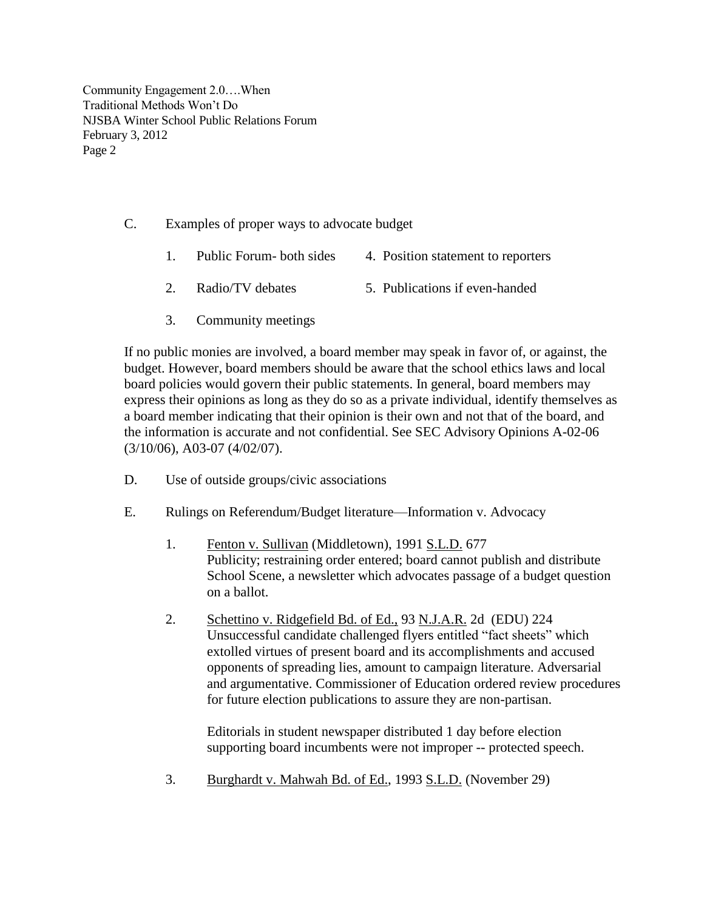- C. Examples of proper ways to advocate budget
	- 1. Public Forum- both sides 4. Position statement to reporters
	- 2. Radio/TV debates 5. Publications if even-handed
	- 3. Community meetings

If no public monies are involved, a board member may speak in favor of, or against, the budget. However, board members should be aware that the school ethics laws and local board policies would govern their public statements. In general, board members may express their opinions as long as they do so as a private individual, identify themselves as a board member indicating that their opinion is their own and not that of the board, and the information is accurate and not confidential. See SEC Advisory Opinions A-02-06 (3/10/06), A03-07 (4/02/07).

- D. Use of outside groups/civic associations
- E. Rulings on Referendum/Budget literature—Information v. Advocacy
	- 1. Fenton v. Sullivan (Middletown), 1991 S.L.D. 677 Publicity; restraining order entered; board cannot publish and distribute School Scene, a newsletter which advocates passage of a budget question on a ballot.
	- 2. Schettino v. Ridgefield Bd. of Ed., 93 N.J.A.R. 2d (EDU) 224 Unsuccessful candidate challenged flyers entitled "fact sheets" which extolled virtues of present board and its accomplishments and accused opponents of spreading lies, amount to campaign literature. Adversarial and argumentative. Commissioner of Education ordered review procedures for future election publications to assure they are non-partisan.

Editorials in student newspaper distributed 1 day before election supporting board incumbents were not improper -- protected speech.

3. Burghardt v. Mahwah Bd. of Ed., 1993 S.L.D. (November 29)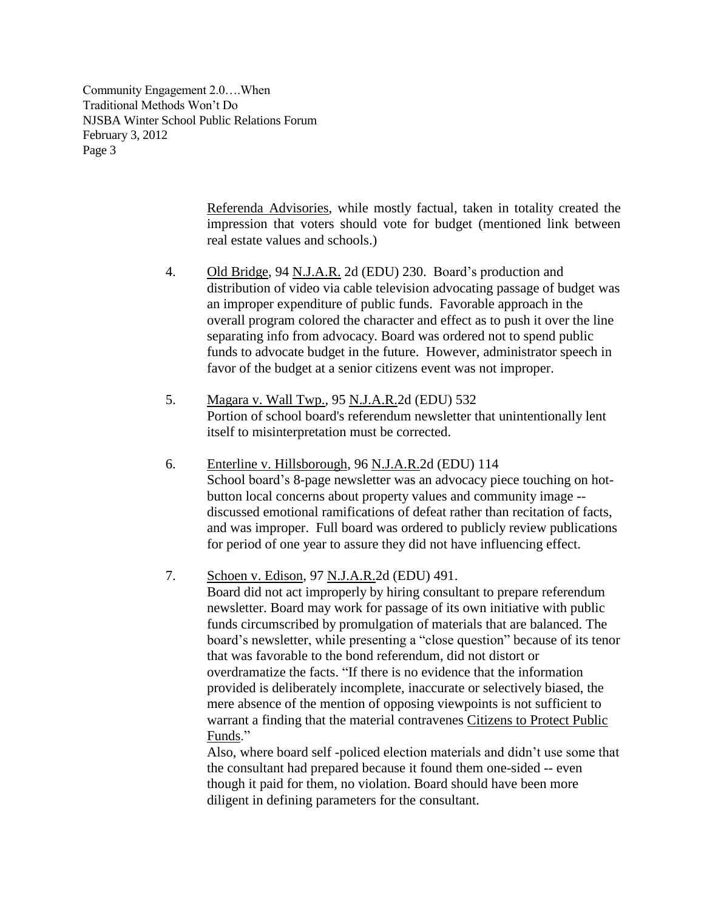> Referenda Advisories, while mostly factual, taken in totality created the impression that voters should vote for budget (mentioned link between real estate values and schools.)

- 4. Old Bridge, 94 N.J.A.R. 2d (EDU) 230. Board's production and distribution of video via cable television advocating passage of budget was an improper expenditure of public funds. Favorable approach in the overall program colored the character and effect as to push it over the line separating info from advocacy. Board was ordered not to spend public funds to advocate budget in the future. However, administrator speech in favor of the budget at a senior citizens event was not improper.
- 5. Magara v. Wall Twp., 95 N.J.A.R.2d (EDU) 532 Portion of school board's referendum newsletter that unintentionally lent itself to misinterpretation must be corrected.
- 6. Enterline v. Hillsborough, 96 N.J.A.R.2d (EDU) 114 School board's 8-page newsletter was an advocacy piece touching on hotbutton local concerns about property values and community image - discussed emotional ramifications of defeat rather than recitation of facts, and was improper. Full board was ordered to publicly review publications for period of one year to assure they did not have influencing effect.

7. Schoen v. Edison, 97 N.J.A.R.2d (EDU) 491.

Board did not act improperly by hiring consultant to prepare referendum newsletter. Board may work for passage of its own initiative with public funds circumscribed by promulgation of materials that are balanced. The board's newsletter, while presenting a "close question" because of its tenor that was favorable to the bond referendum, did not distort or overdramatize the facts. "If there is no evidence that the information provided is deliberately incomplete, inaccurate or selectively biased, the mere absence of the mention of opposing viewpoints is not sufficient to warrant a finding that the material contravenes Citizens to Protect Public Funds."

Also, where board self -policed election materials and didn't use some that the consultant had prepared because it found them one-sided -- even though it paid for them, no violation. Board should have been more diligent in defining parameters for the consultant.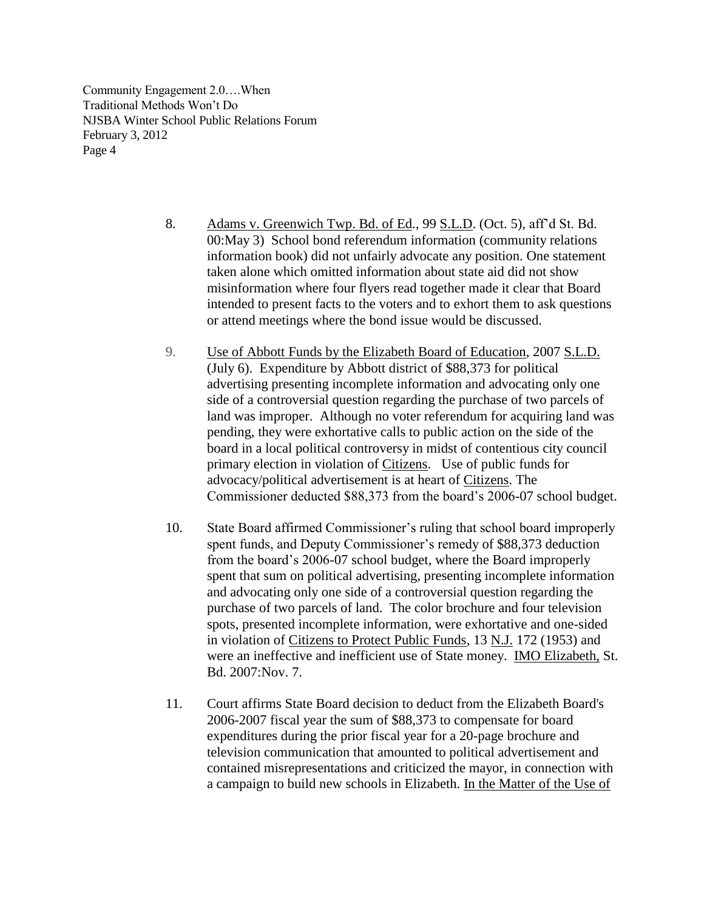- 8. Adams v. Greenwich Twp. Bd. of Ed., 99 S.L.D. (Oct. 5), aff'd St. Bd. 00:May 3) School bond referendum information (community relations information book) did not unfairly advocate any position. One statement taken alone which omitted information about state aid did not show misinformation where four flyers read together made it clear that Board intended to present facts to the voters and to exhort them to ask questions or attend meetings where the bond issue would be discussed.
- 9. Use of Abbott Funds by the Elizabeth Board of Education, 2007 S.L.D. (July 6).Expenditure by Abbott district of \$88,373 for political advertising presenting incomplete information and advocating only one side of a controversial question regarding the purchase of two parcels of land was improper. Although no voter referendum for acquiring land was pending, they were exhortative calls to public action on the side of the board in a local political controversy in midst of contentious city council primary election in violation of Citizens. Use of public funds for advocacy/political advertisement is at heart of Citizens. The Commissioner deducted \$88,373 from the board's 2006-07 school budget.
- 10. State Board affirmed Commissioner's ruling that school board improperly spent funds, and Deputy Commissioner's remedy of \$88,373 deduction from the board's 2006-07 school budget, where the Board improperly spent that sum on political advertising, presenting incomplete information and advocating only one side of a controversial question regarding the purchase of two parcels of land. The color brochure and four television spots, presented incomplete information, were exhortative and one-sided in violation of Citizens to Protect Public Funds, 13 N.J. 172 (1953) and were an ineffective and inefficient use of State money. [IMO Elizabeth,](http://www.state.nj.us/education/legal/sboe/2007/dec/sb21-07.pdf) St. Bd. 2007:Nov. 7.
- 11. Court affirms State Board decision to deduct from the Elizabeth Board's 2006-2007 fiscal year the sum of \$88,373 to compensate for board expenditures during the prior fiscal year for a 20-page brochure and television communication that amounted to political advertisement and contained misrepresentations and criticized the mayor, in connection with a campaign to build new schools in Elizabeth. [In the Matter of the Use of](http://lawlibrary.rutgers.edu/courts/appellate/a2409-07.opn.html)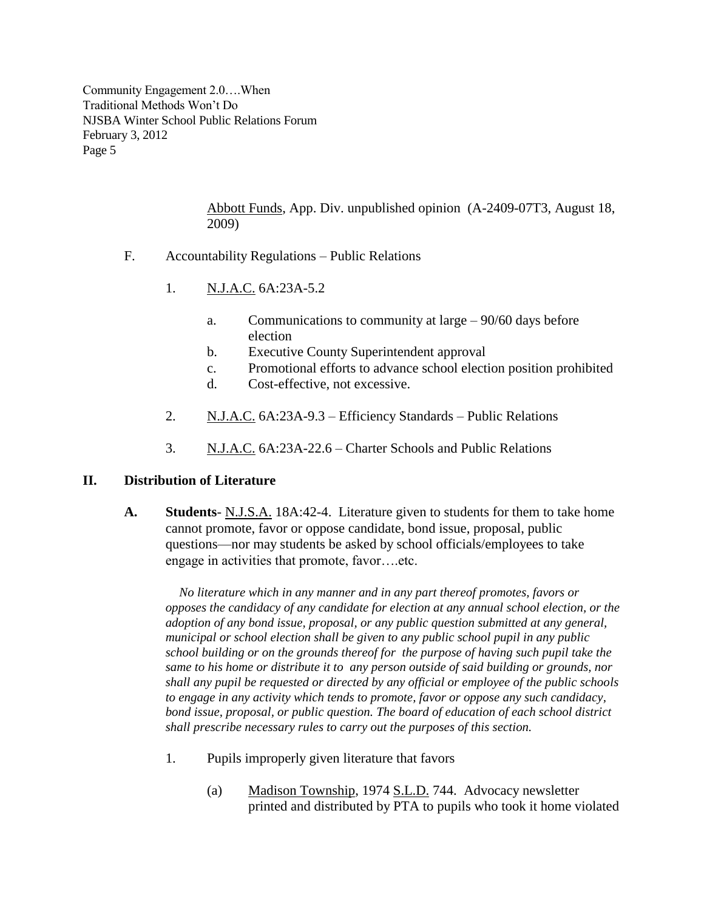> [Abbott Funds,](http://lawlibrary.rutgers.edu/courts/appellate/a2409-07.opn.html) App. Div. unpublished opinion (A-2409-07T3, August 18, 2009)

- F. Accountability Regulations Public Relations
	- 1. N.J.A.C. 6A:23A-5.2
		- a. Communications to community at large 90/60 days before election
		- b. Executive County Superintendent approval
		- c. Promotional efforts to advance school election position prohibited
		- d. Cost-effective, not excessive.
	- 2. N.J.A.C. 6A:23A-9.3 Efficiency Standards Public Relations
	- 3. N.J.A.C. 6A:23A-22.6 Charter Schools and Public Relations

#### **II. Distribution of Literature**

**A. Students**- N.J.S.A. 18A:42-4. Literature given to students for them to take home cannot promote, favor or oppose candidate, bond issue, proposal, public questions—nor may students be asked by school officials/employees to take engage in activities that promote, favor….etc.

 *No literature which in any manner and in any part thereof promotes, favors or opposes the candidacy of any candidate for election at any annual school election, or the adoption of any bond issue, proposal, or any public question submitted at any general, municipal or school election shall be given to any public school pupil in any public school building or on the grounds thereof for the purpose of having such pupil take the same to his home or distribute it to any person outside of said building or grounds, nor shall any pupil be requested or directed by any official or employee of the public schools to engage in any activity which tends to promote, favor or oppose any such candidacy, bond issue, proposal, or public question. The board of education of each school district shall prescribe necessary rules to carry out the purposes of this section.*

- 1. Pupils improperly given literature that favors
	- (a) Madison Township, 1974 S.L.D. 744. Advocacy newsletter printed and distributed by PTA to pupils who took it home violated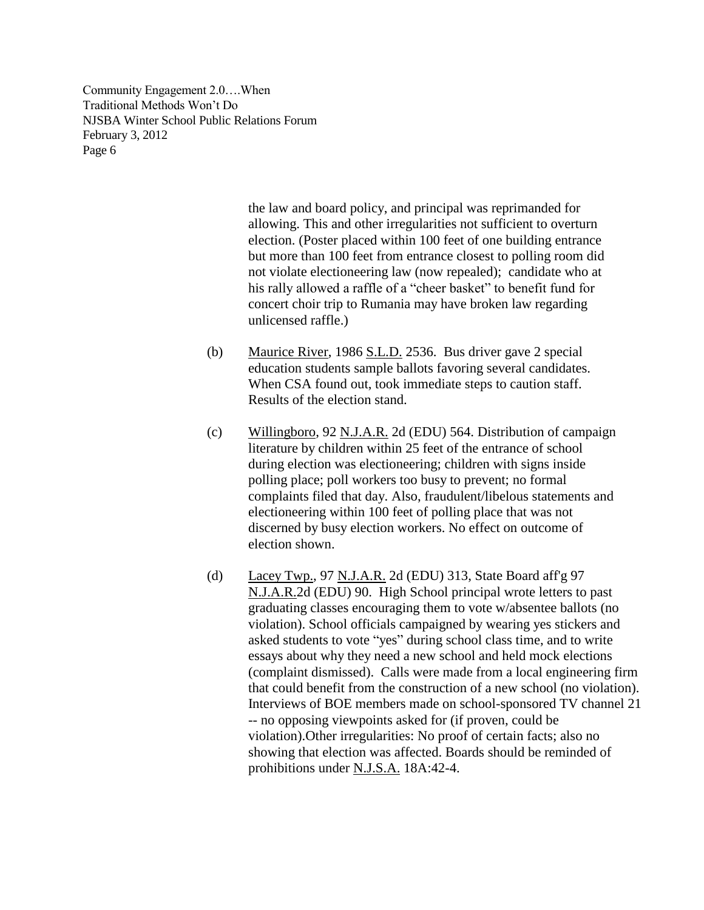> the law and board policy, and principal was reprimanded for allowing. This and other irregularities not sufficient to overturn election. (Poster placed within 100 feet of one building entrance but more than 100 feet from entrance closest to polling room did not violate electioneering law (now repealed); candidate who at his rally allowed a raffle of a "cheer basket" to benefit fund for concert choir trip to Rumania may have broken law regarding unlicensed raffle.)

- (b) Maurice River, 1986 S.L.D. 2536. Bus driver gave 2 special education students sample ballots favoring several candidates. When CSA found out, took immediate steps to caution staff. Results of the election stand.
- (c) Willingboro, 92 N.J.A.R. 2d (EDU) 564. Distribution of campaign literature by children within 25 feet of the entrance of school during election was electioneering; children with signs inside polling place; poll workers too busy to prevent; no formal complaints filed that day. Also, fraudulent/libelous statements and electioneering within 100 feet of polling place that was not discerned by busy election workers. No effect on outcome of election shown.
- (d) Lacey Twp., 97 N.J.A.R. 2d (EDU) 313, State Board aff'g 97 N.J.A.R.2d (EDU) 90. High School principal wrote letters to past graduating classes encouraging them to vote w/absentee ballots (no violation). School officials campaigned by wearing yes stickers and asked students to vote "yes" during school class time, and to write essays about why they need a new school and held mock elections (complaint dismissed). Calls were made from a local engineering firm that could benefit from the construction of a new school (no violation). Interviews of BOE members made on school-sponsored TV channel 21 -- no opposing viewpoints asked for (if proven, could be violation).Other irregularities: No proof of certain facts; also no showing that election was affected. Boards should be reminded of prohibitions under N.J.S.A. 18A:42-4.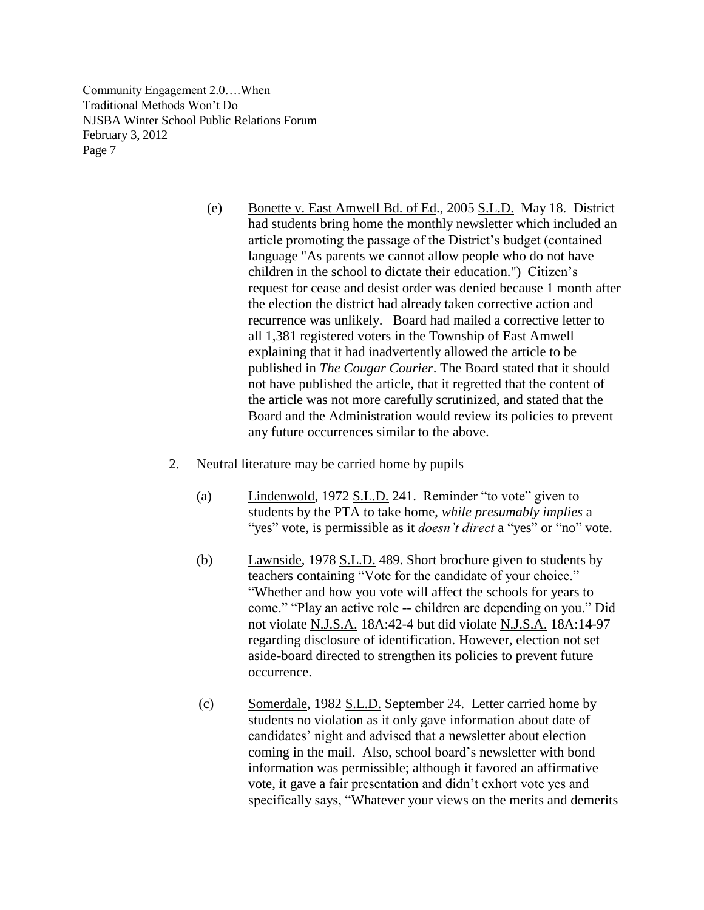- (e) Bonette v. East Amwell Bd. of Ed., 2005 S.L.D. May 18. District had students bring home the monthly newsletter which included an article promoting the passage of the District's budget (contained language "As parents we cannot allow people who do not have children in the school to dictate their education.") Citizen's request for cease and desist order was denied because 1 month after the election the district had already taken corrective action and recurrence was unlikely. Board had mailed a corrective letter to all 1,381 registered voters in the Township of East Amwell explaining that it had inadvertently allowed the article to be published in *The Cougar Courier*. The Board stated that it should not have published the article, that it regretted that the content of the article was not more carefully scrutinized, and stated that the Board and the Administration would review its policies to prevent any future occurrences similar to the above.
- 2. Neutral literature may be carried home by pupils
	- (a) Lindenwold, 1972 S.L.D. 241. Reminder "to vote" given to students by the PTA to take home, *while presumably implies* a "yes" vote, is permissible as it *doesn't direct* a "yes" or "no" vote.
	- (b) Lawnside, 1978 S.L.D. 489. Short brochure given to students by teachers containing "Vote for the candidate of your choice." ―Whether and how you vote will affect the schools for years to come." "Play an active role -- children are depending on you." Did not violate N.J.S.A. 18A:42-4 but did violate N.J.S.A. 18A:14-97 regarding disclosure of identification. However, election not set aside-board directed to strengthen its policies to prevent future occurrence.
	- (c) Somerdale, 1982 S.L.D. September 24. Letter carried home by students no violation as it only gave information about date of candidates' night and advised that a newsletter about election coming in the mail. Also, school board's newsletter with bond information was permissible; although it favored an affirmative vote, it gave a fair presentation and didn't exhort vote yes and specifically says, "Whatever your views on the merits and demerits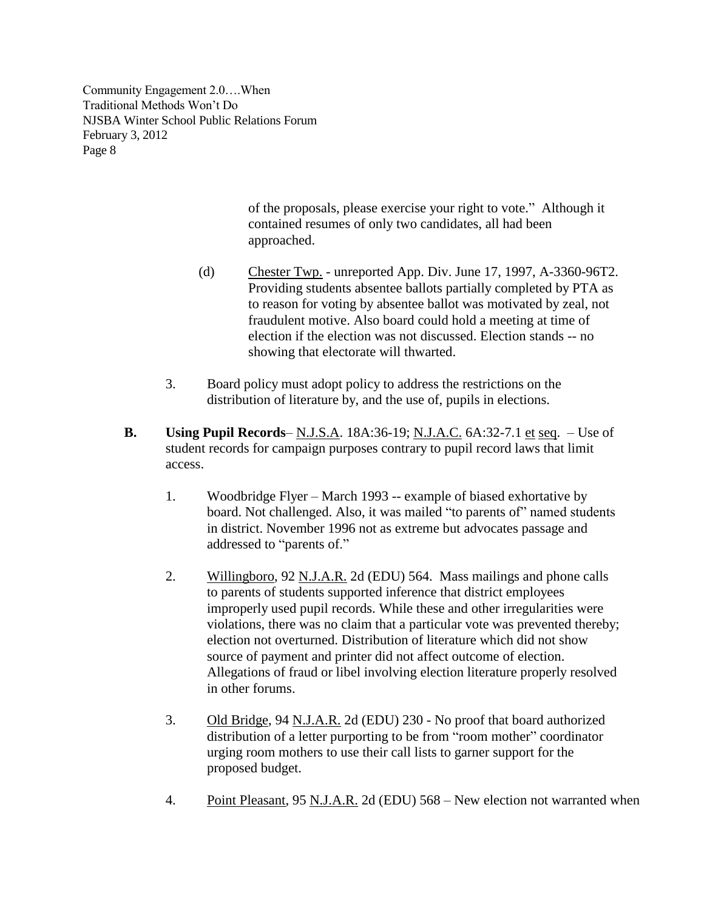> of the proposals, please exercise your right to vote." Although it contained resumes of only two candidates, all had been approached.

- (d) Chester Twp. unreported App. Div. June 17, 1997, A-3360-96T2. Providing students absentee ballots partially completed by PTA as to reason for voting by absentee ballot was motivated by zeal, not fraudulent motive. Also board could hold a meeting at time of election if the election was not discussed. Election stands -- no showing that electorate will thwarted.
- 3. Board policy must adopt policy to address the restrictions on the distribution of literature by, and the use of, pupils in elections.
- **B.** Using Pupil Records– N.J.S.A. 18A:36-19; N.J.A.C. 6A:32-7.1 et seq. Use of student records for campaign purposes contrary to pupil record laws that limit access.
	- 1. Woodbridge Flyer March 1993 -- example of biased exhortative by board. Not challenged. Also, it was mailed "to parents of" named students in district. November 1996 not as extreme but advocates passage and addressed to "parents of."
	- 2. Willingboro, 92 N.J.A.R. 2d (EDU) 564. Mass mailings and phone calls to parents of students supported inference that district employees improperly used pupil records. While these and other irregularities were violations, there was no claim that a particular vote was prevented thereby; election not overturned. Distribution of literature which did not show source of payment and printer did not affect outcome of election. Allegations of fraud or libel involving election literature properly resolved in other forums.
	- 3. Old Bridge, 94 N.J.A.R. 2d (EDU) 230 No proof that board authorized distribution of a letter purporting to be from "room mother" coordinator urging room mothers to use their call lists to garner support for the proposed budget.
	- 4. Point Pleasant, 95 N.J.A.R. 2d (EDU) 568 New election not warranted when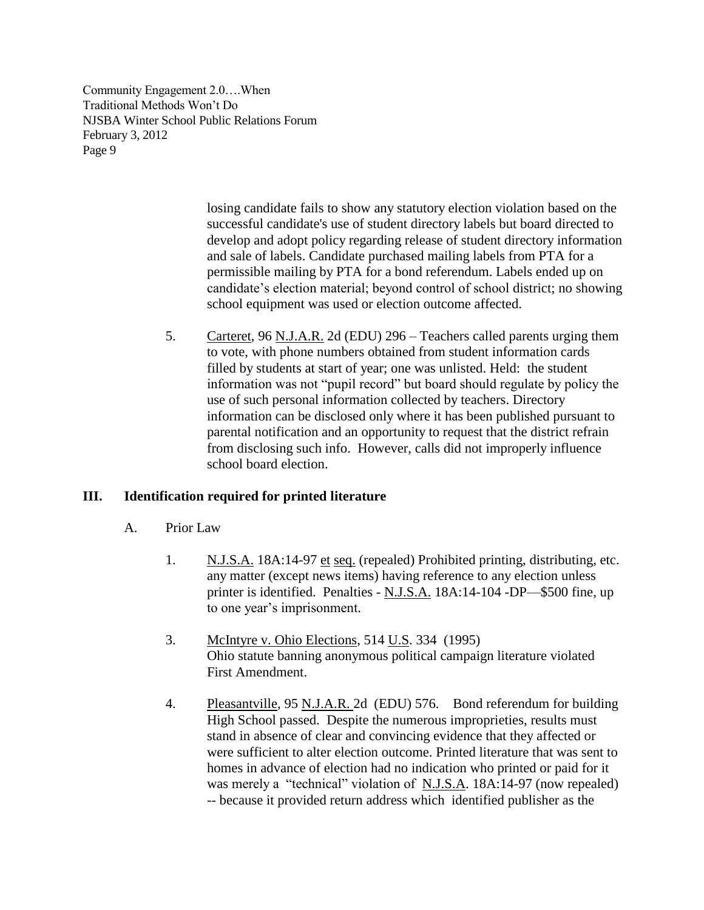> losing candidate fails to show any statutory election violation based on the successful candidate's use of student directory labels but board directed to develop and adopt policy regarding release of student directory information and sale of labels. Candidate purchased mailing labels from PTA for a permissible mailing by PTA for a bond referendum. Labels ended up on candidate's election material; beyond control of school district; no showing school equipment was used or election outcome affected.

5. Carteret, 96 N.J.A.R. 2d (EDU) 296 – Teachers called parents urging them to vote, with phone numbers obtained from student information cards filled by students at start of year; one was unlisted. Held: the student information was not "pupil record" but board should regulate by policy the use of such personal information collected by teachers. Directory information can be disclosed only where it has been published pursuant to parental notification and an opportunity to request that the district refrain from disclosing such info. However, calls did not improperly influence school board election.

## **III. Identification required for printed literature**

- A. Prior Law
	- 1. N.J.S.A. 18A:14-97 et seq. (repealed) Prohibited printing, distributing, etc. any matter (except news items) having reference to any election unless printer is identified. Penalties - N.J.S.A. 18A:14-104 -DP—\$500 fine, up to one year's imprisonment.
	- 3. McIntyre v. Ohio Elections, 514 U.S. 334 (1995) Ohio statute banning anonymous political campaign literature violated First Amendment.
	- 4. Pleasantville, 95 N.J.A.R. 2d (EDU) 576. Bond referendum for building High School passed. Despite the numerous improprieties, results must stand in absence of clear and convincing evidence that they affected or were sufficient to alter election outcome. Printed literature that was sent to homes in advance of election had no indication who printed or paid for it was merely a "technical" violation of N.J.S.A. 18A:14-97 (now repealed) -- because it provided return address which identified publisher as the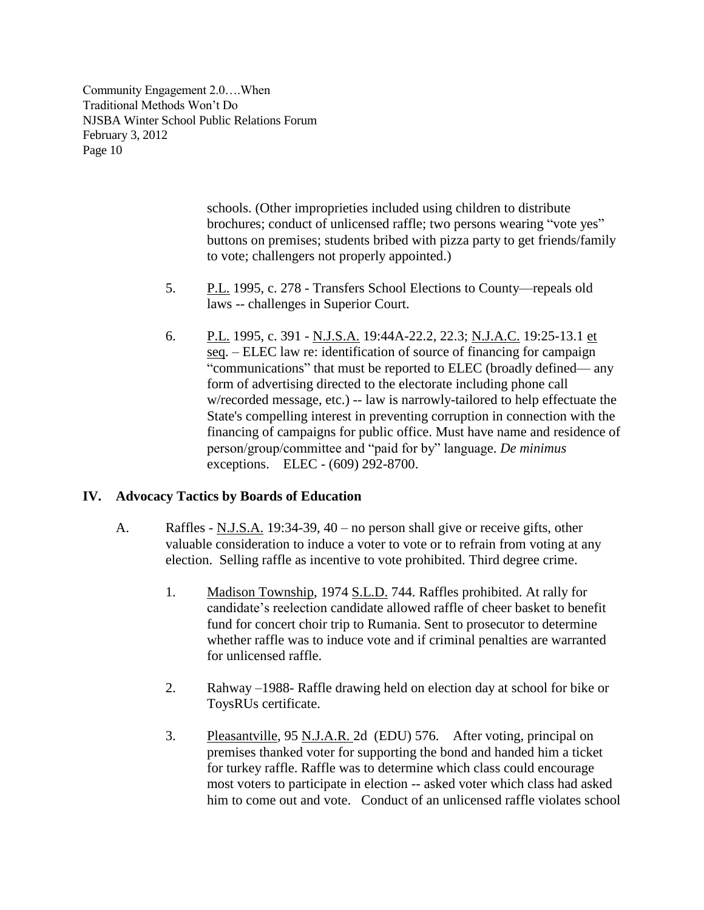> schools. (Other improprieties included using children to distribute brochures; conduct of unlicensed raffle; two persons wearing "vote yes" buttons on premises; students bribed with pizza party to get friends/family to vote; challengers not properly appointed.)

- 5. P.L. 1995, c. 278 Transfers School Elections to County—repeals old laws -- challenges in Superior Court.
- 6. P.L. 1995, c. 391 N.J.S.A. 19:44A-22.2, 22.3; N.J.A.C. 19:25-13.1 et seq. – ELEC law re: identification of source of financing for campaign "communications" that must be reported to ELEC (broadly defined— any form of advertising directed to the electorate including phone call w/recorded message, etc.) -- law is narrowly-tailored to help effectuate the State's compelling interest in preventing corruption in connection with the financing of campaigns for public office. Must have name and residence of person/group/committee and "paid for by" language. *De minimus* exceptions. ELEC - (609) 292-8700.

## **IV. Advocacy Tactics by Boards of Education**

- A. Raffles N.J.S.A. 19:34-39, 40 no person shall give or receive gifts, other valuable consideration to induce a voter to vote or to refrain from voting at any election. Selling raffle as incentive to vote prohibited. Third degree crime.
	- 1. Madison Township, 1974 S.L.D. 744. Raffles prohibited. At rally for candidate's reelection candidate allowed raffle of cheer basket to benefit fund for concert choir trip to Rumania. Sent to prosecutor to determine whether raffle was to induce vote and if criminal penalties are warranted for unlicensed raffle.
	- 2. Rahway –1988- Raffle drawing held on election day at school for bike or ToysRUs certificate.
	- 3. Pleasantville, 95 N.J.A.R. 2d (EDU) 576. After voting, principal on premises thanked voter for supporting the bond and handed him a ticket for turkey raffle. Raffle was to determine which class could encourage most voters to participate in election -- asked voter which class had asked him to come out and vote. Conduct of an unlicensed raffle violates school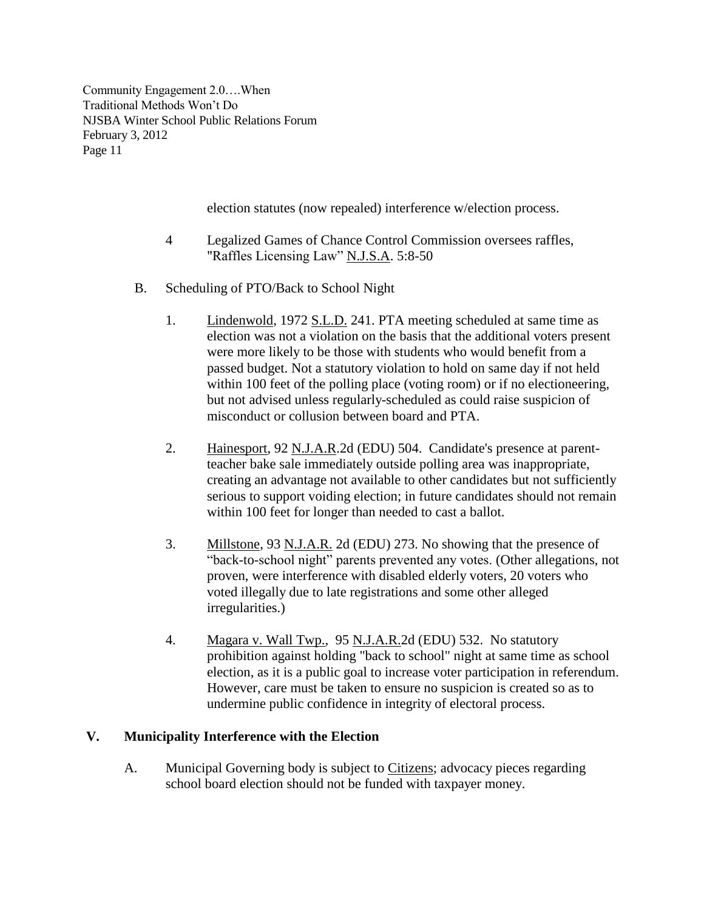election statutes (now repealed) interference w/election process.

- 4 Legalized Games of Chance Control Commission oversees raffles, "Raffles Licensing Law" N.J.S.A. 5:8-50
- B. Scheduling of PTO/Back to School Night
	- 1. Lindenwold, 1972 S.L.D. 241. PTA meeting scheduled at same time as election was not a violation on the basis that the additional voters present were more likely to be those with students who would benefit from a passed budget. Not a statutory violation to hold on same day if not held within 100 feet of the polling place (voting room) or if no electioneering, but not advised unless regularly-scheduled as could raise suspicion of misconduct or collusion between board and PTA.
	- 2. Hainesport, 92 N.J.A.R.2d (EDU) 504. Candidate's presence at parentteacher bake sale immediately outside polling area was inappropriate, creating an advantage not available to other candidates but not sufficiently serious to support voiding election; in future candidates should not remain within 100 feet for longer than needed to cast a ballot.
	- 3. Millstone, 93 N.J.A.R. 2d (EDU) 273. No showing that the presence of "back-to-school night" parents prevented any votes. (Other allegations, not proven, were interference with disabled elderly voters, 20 voters who voted illegally due to late registrations and some other alleged irregularities.)
	- 4. Magara v. Wall Twp., 95 N.J.A.R.2d (EDU) 532. No statutory prohibition against holding "back to school" night at same time as school election, as it is a public goal to increase voter participation in referendum. However, care must be taken to ensure no suspicion is created so as to undermine public confidence in integrity of electoral process.

## **V. Municipality Interference with the Election**

A. Municipal Governing body is subject to Citizens; advocacy pieces regarding school board election should not be funded with taxpayer money.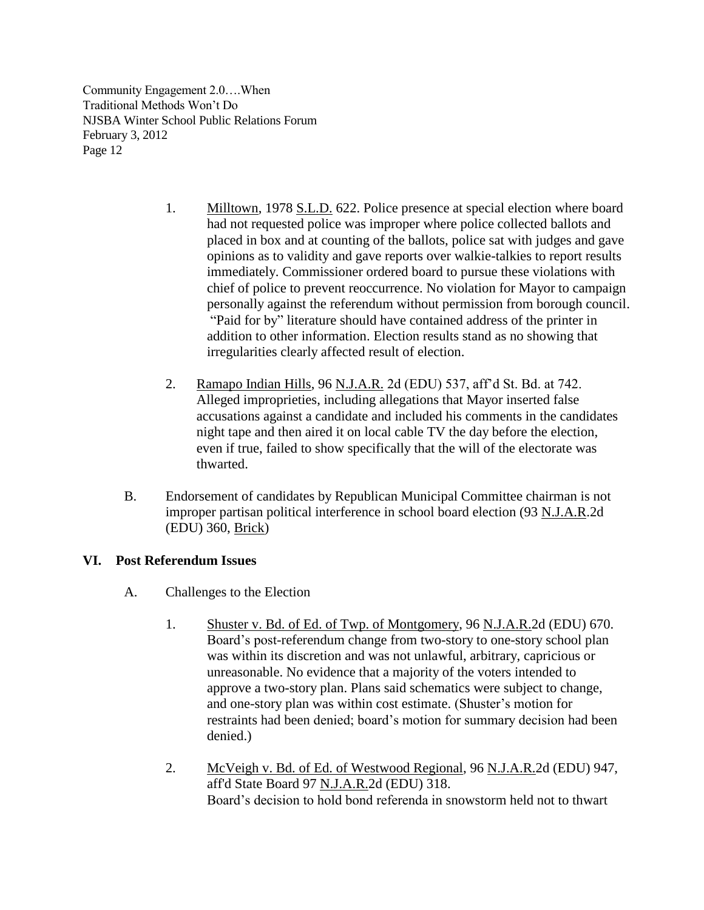- 1. Milltown, 1978 S.L.D. 622. Police presence at special election where board had not requested police was improper where police collected ballots and placed in box and at counting of the ballots, police sat with judges and gave opinions as to validity and gave reports over walkie-talkies to report results immediately. Commissioner ordered board to pursue these violations with chief of police to prevent reoccurrence. No violation for Mayor to campaign personally against the referendum without permission from borough council. "Paid for by" literature should have contained address of the printer in addition to other information. Election results stand as no showing that irregularities clearly affected result of election.
- 2. Ramapo Indian Hills, 96 N.J.A.R. 2d (EDU) 537, aff'd St. Bd. at 742. Alleged improprieties, including allegations that Mayor inserted false accusations against a candidate and included his comments in the candidates night tape and then aired it on local cable TV the day before the election, even if true, failed to show specifically that the will of the electorate was thwarted.
- B. Endorsement of candidates by Republican Municipal Committee chairman is not improper partisan political interference in school board election (93 N.J.A.R.2d (EDU) 360, Brick)

## **VI. Post Referendum Issues**

- A. Challenges to the Election
	- 1. Shuster v. Bd. of Ed. of Twp. of Montgomery, 96 N.J.A.R.2d (EDU) 670. Board's post-referendum change from two-story to one-story school plan was within its discretion and was not unlawful, arbitrary, capricious or unreasonable. No evidence that a majority of the voters intended to approve a two-story plan. Plans said schematics were subject to change, and one-story plan was within cost estimate. (Shuster's motion for restraints had been denied; board's motion for summary decision had been denied.)
	- 2. McVeigh v. Bd. of Ed. of Westwood Regional, 96 N.J.A.R.2d (EDU) 947, aff'd State Board 97 N.J.A.R.2d (EDU) 318. Board's decision to hold bond referenda in snowstorm held not to thwart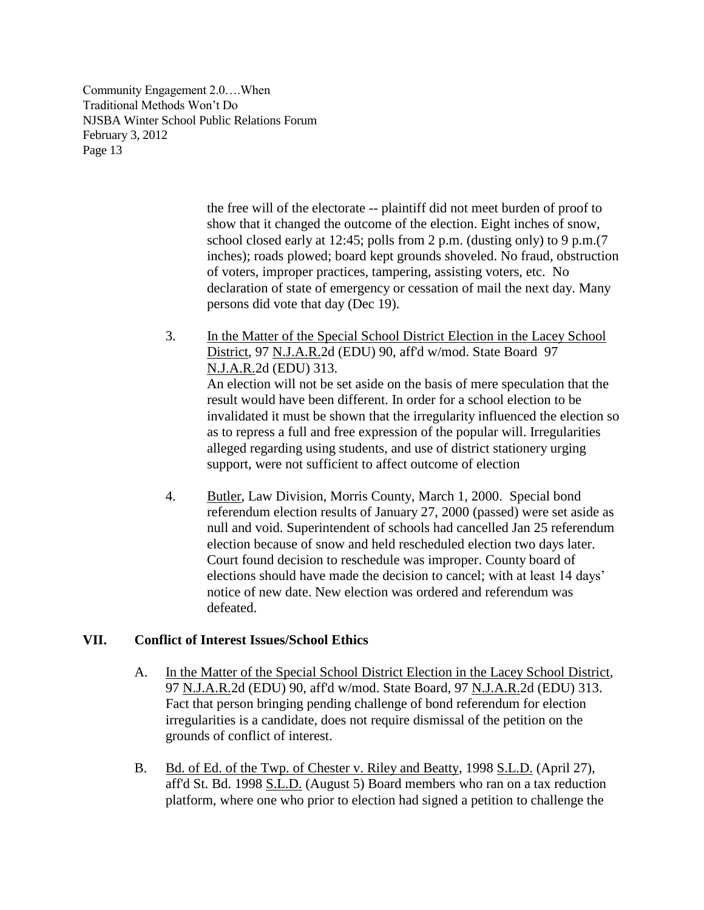> the free will of the electorate -- plaintiff did not meet burden of proof to show that it changed the outcome of the election. Eight inches of snow, school closed early at 12:45; polls from 2 p.m. (dusting only) to 9 p.m.(7 inches); roads plowed; board kept grounds shoveled. No fraud, obstruction of voters, improper practices, tampering, assisting voters, etc. No declaration of state of emergency or cessation of mail the next day. Many persons did vote that day (Dec 19).

- 3. In the Matter of the Special School District Election in the Lacey School District, 97 N.J.A.R.2d (EDU) 90, aff'd w/mod. State Board 97 N.J.A.R.2d (EDU) 313. An election will not be set aside on the basis of mere speculation that the result would have been different. In order for a school election to be invalidated it must be shown that the irregularity influenced the election so as to repress a full and free expression of the popular will. Irregularities alleged regarding using students, and use of district stationery urging support, were not sufficient to affect outcome of election
- 4. Butler, Law Division, Morris County, March 1, 2000. Special bond referendum election results of January 27, 2000 (passed) were set aside as null and void. Superintendent of schools had cancelled Jan 25 referendum election because of snow and held rescheduled election two days later. Court found decision to reschedule was improper. County board of elections should have made the decision to cancel; with at least 14 days' notice of new date. New election was ordered and referendum was defeated.

#### **VII. Conflict of Interest Issues/School Ethics**

- A. In the Matter of the Special School District Election in the Lacey School District, 97 N.J.A.R.2d (EDU) 90, aff'd w/mod. State Board, 97 N.J.A.R.2d (EDU) 313. Fact that person bringing pending challenge of bond referendum for election irregularities is a candidate, does not require dismissal of the petition on the grounds of conflict of interest.
- B. Bd. of Ed. of the Twp. of Chester v. Riley and Beatty, 1998 S.L.D. (April 27), aff'd St. Bd. 1998 S.L.D. (August 5) Board members who ran on a tax reduction platform, where one who prior to election had signed a petition to challenge the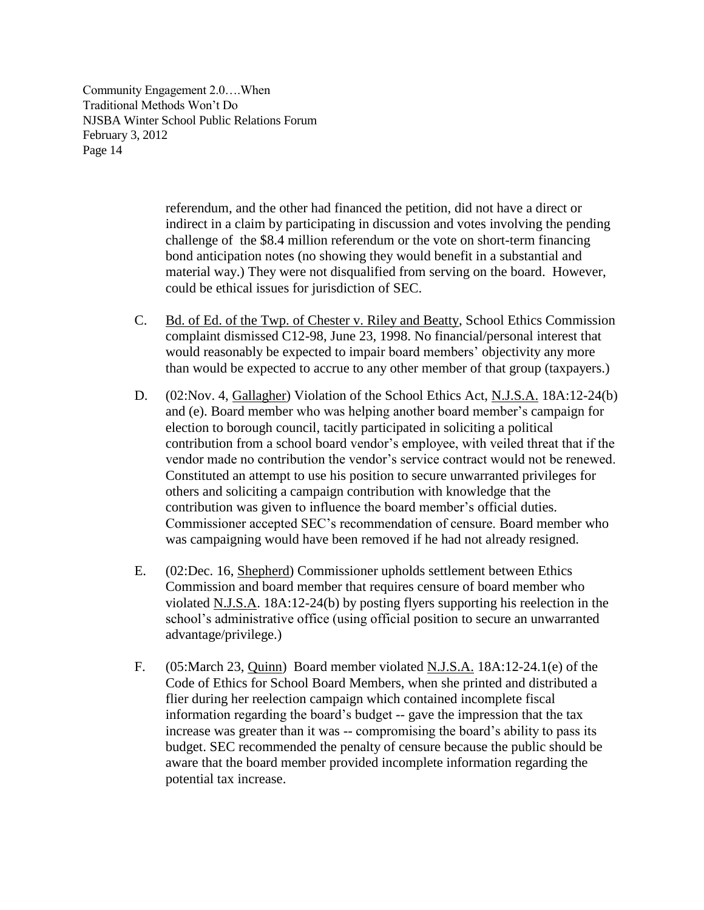> referendum, and the other had financed the petition, did not have a direct or indirect in a claim by participating in discussion and votes involving the pending challenge of the \$8.4 million referendum or the vote on short-term financing bond anticipation notes (no showing they would benefit in a substantial and material way.) They were not disqualified from serving on the board. However, could be ethical issues for jurisdiction of SEC.

- C. Bd. of Ed. of the Twp. of Chester v. Riley and Beatty, School Ethics Commission complaint dismissed C12-98, June 23, 1998. No financial/personal interest that would reasonably be expected to impair board members' objectivity any more than would be expected to accrue to any other member of that group (taxpayers.)
- D. (02:Nov. 4, Gallagher) Violation of the School Ethics Act, N.J.S.A. 18A:12-24(b) and (e). Board member who was helping another board member's campaign for election to borough council, tacitly participated in soliciting a political contribution from a school board vendor's employee, with veiled threat that if the vendor made no contribution the vendor's service contract would not be renewed. Constituted an attempt to use his position to secure unwarranted privileges for others and soliciting a campaign contribution with knowledge that the contribution was given to influence the board member's official duties. Commissioner accepted SEC's recommendation of censure. Board member who was campaigning would have been removed if he had not already resigned.
- E. (02:Dec. 16, Shepherd) Commissioner upholds settlement between Ethics Commission and board member that requires censure of board member who violated N.J.S.A. 18A:12-24(b) by posting flyers supporting his reelection in the school's administrative office (using official position to secure an unwarranted advantage/privilege.)
- F. (05:March 23, Quinn) Board member violated N.J.S.A. 18A:12-24.1(e) of the Code of Ethics for School Board Members, when she printed and distributed a flier during her reelection campaign which contained incomplete fiscal information regarding the board's budget -- gave the impression that the tax increase was greater than it was -- compromising the board's ability to pass its budget. SEC recommended the penalty of censure because the public should be aware that the board member provided incomplete information regarding the potential tax increase.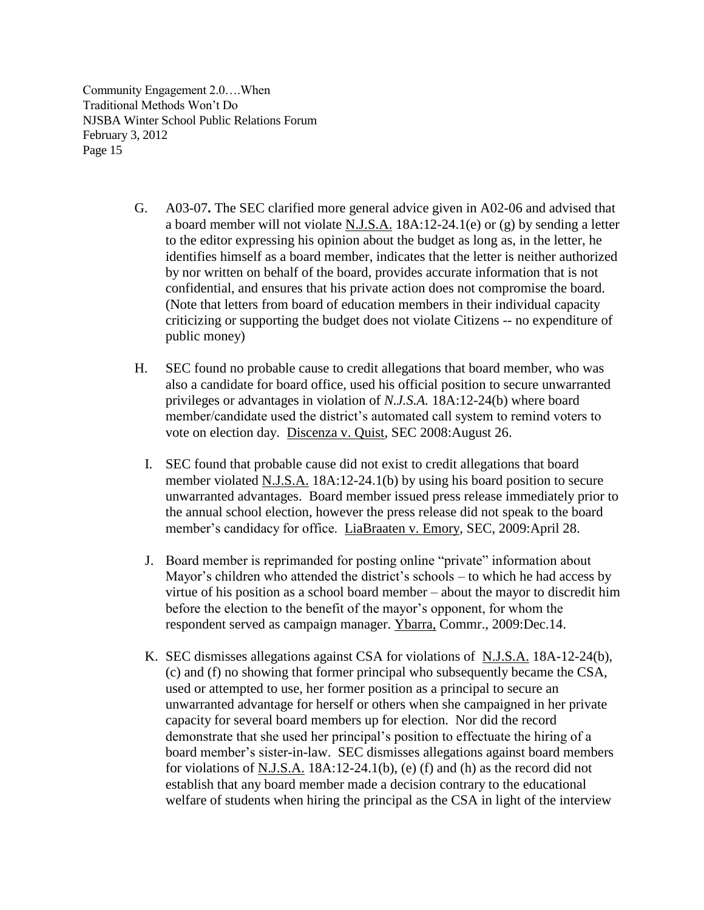- G. [A03-07](http://www.state.nj.us/education/legal/ethics/advisory/a03-07.pdf)**.** The SEC clarified more general advice given in A02-06 and advised that a board member will not violate N.J.S.A. 18A:12-24.1(e) or (g) by sending a letter to the editor expressing his opinion about the budget as long as, in the letter, he identifies himself as a board member, indicates that the letter is neither authorized by nor written on behalf of the board, provides accurate information that is not confidential, and ensures that his private action does not compromise the board. (Note that letters from board of education members in their individual capacity criticizing or supporting the budget does not violate Citizens -- no expenditure of public money)
- H. SEC found no probable cause to credit allegations that board member, who was also a candidate for board office, used his official position to secure unwarranted privileges or advantages in violation of *N.J.S.A.* 18A:12-24(b) where board member/candidate used the district's automated call system to remind voters to vote on election day. Discenza v. Quist, SEC 2008:August 26.
	- I. SEC found that probable cause did not exist to credit allegations that board member violated N.J.S.A. 18A:12-24.1(b) by using his board position to secure unwarranted advantages. Board member issued press release immediately prior to the annual school election, however the press release did not speak to the board member's candidacy for office. LiaBraaten v. Emory, SEC, 2009:April 28.
	- J. Board member is reprimanded for posting online "private" information about Mayor's children who attended the district's schools – to which he had access by virtue of his position as a school board member – about the mayor to discredit him before the election to the benefit of the mayor's opponent, for whom the respondent served as campaign manager. [Ybarra,](http://www.nj.gov/education/legal/ethics/2009/C20-09.pdf) Commr., 2009:Dec.14.
	- K. SEC dismisses allegations against CSA for violations of N.J.S.A. 18A-12-24(b), (c) and (f) no showing that former principal who subsequently became the CSA, used or attempted to use, her former position as a principal to secure an unwarranted advantage for herself or others when she campaigned in her private capacity for several board members up for election. Nor did the record demonstrate that she used her principal's position to effectuate the hiring of a board member's sister-in-law. SEC dismisses allegations against board members for violations of N.J.S.A. 18A:12-24.1(b), (e) (f) and (h) as the record did not establish that any board member made a decision contrary to the educational welfare of students when hiring the principal as the CSA in light of the interview